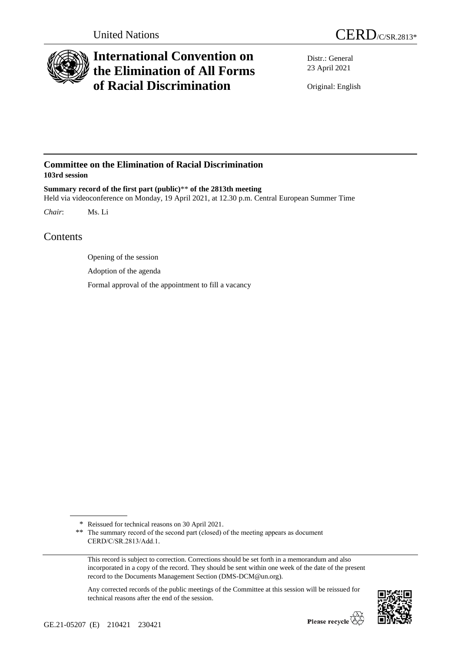



# **International Convention on the Elimination of All Forms of Racial Discrimination**

Distr.: General 23 April 2021

Original: English

### **Committee on the Elimination of Racial Discrimination 103rd session**

**Summary record of the first part (public)**\*\* **of the 2813th meeting** Held via videoconference on Monday, 19 April 2021, at 12.30 p.m. Central European Summer Time

*Chair*: Ms. Li

## Contents

Opening of the session

Adoption of the agenda

Formal approval of the appointment to fill a vacancy

Any corrected records of the public meetings of the Committee at this session will be reissued for technical reasons after the end of the session.



<sup>\*</sup> Reissued for technical reasons on 30 April 2021.

<sup>\*\*</sup> The summary record of the second part (closed) of the meeting appears as document CERD/C/SR.2813/Add.1.

This record is subject to correction. Corrections should be set forth in a memorandum and also incorporated in a copy of the record. They should be sent within one week of the date of the present record to the Documents Management Section (DMS-DCM@un.org).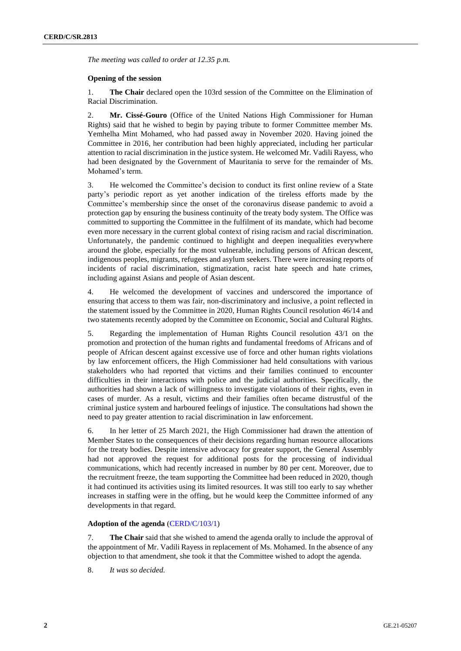*The meeting was called to order at 12.35 p.m.*

#### **Opening of the session**

1. **The Chair** declared open the 103rd session of the Committee on the Elimination of Racial Discrimination.

2. **Mr. Cissé-Gouro** (Office of the United Nations High Commissioner for Human Rights) said that he wished to begin by paying tribute to former Committee member Ms. Yemhelha Mint Mohamed, who had passed away in November 2020. Having joined the Committee in 2016, her contribution had been highly appreciated, including her particular attention to racial discrimination in the justice system. He welcomed Mr. Vadili Rayess, who had been designated by the Government of Mauritania to serve for the remainder of Ms. Mohamed's term.

3. He welcomed the Committee's decision to conduct its first online review of a State party's periodic report as yet another indication of the tireless efforts made by the Committee's membership since the onset of the coronavirus disease pandemic to avoid a protection gap by ensuring the business continuity of the treaty body system. The Office was committed to supporting the Committee in the fulfilment of its mandate, which had become even more necessary in the current global context of rising racism and racial discrimination. Unfortunately, the pandemic continued to highlight and deepen inequalities everywhere around the globe, especially for the most vulnerable, including persons of African descent, indigenous peoples, migrants, refugees and asylum seekers. There were increasing reports of incidents of racial discrimination, stigmatization, racist hate speech and hate crimes, including against Asians and people of Asian descent.

4. He welcomed the development of vaccines and underscored the importance of ensuring that access to them was fair, non-discriminatory and inclusive, a point reflected in the statement issued by the Committee in 2020, Human Rights Council resolution 46/14 and two statements recently adopted by the Committee on Economic, Social and Cultural Rights.

5. Regarding the implementation of Human Rights Council resolution 43/1 on the promotion and protection of the human rights and fundamental freedoms of Africans and of people of African descent against excessive use of force and other human rights violations by law enforcement officers, the High Commissioner had held consultations with various stakeholders who had reported that victims and their families continued to encounter difficulties in their interactions with police and the judicial authorities. Specifically, the authorities had shown a lack of willingness to investigate violations of their rights, even in cases of murder. As a result, victims and their families often became distrustful of the criminal justice system and harboured feelings of injustice. The consultations had shown the need to pay greater attention to racial discrimination in law enforcement.

6. In her letter of 25 March 2021, the High Commissioner had drawn the attention of Member States to the consequences of their decisions regarding human resource allocations for the treaty bodies. Despite intensive advocacy for greater support, the General Assembly had not approved the request for additional posts for the processing of individual communications, which had recently increased in number by 80 per cent. Moreover, due to the recruitment freeze, the team supporting the Committee had been reduced in 2020, though it had continued its activities using its limited resources. It was still too early to say whether increases in staffing were in the offing, but he would keep the Committee informed of any developments in that regard.

#### **Adoption of the agenda** [\(CERD/C/103/1\)](http://undocs.org/en/CERD/C/103/1)

7. **The Chair** said that she wished to amend the agenda orally to include the approval of the appointment of Mr. Vadili Rayess in replacement of Ms. Mohamed. In the absence of any objection to that amendment, she took it that the Committee wished to adopt the agenda.

8. *It was so decided.*